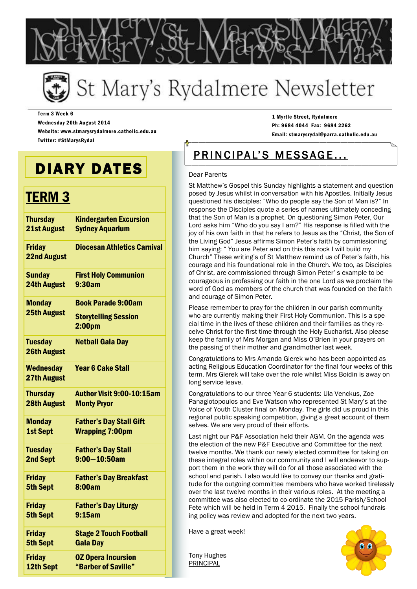

# St Mary's Rydalmere Newsletter

Term 3 Week 6 Wednesday 20th August 2014 Website: www.stmarysrydalmere.catholic.edu.au Twitter: #StMarysRydal

DIARY DATES

## TERM 3

| <b>Thursday</b>                      | <b>Kindergarten Excursion</b>                                                  |
|--------------------------------------|--------------------------------------------------------------------------------|
| 21st August                          | <b>Sydney Aquarium</b>                                                         |
| <b>Friday</b><br><b>22nd August</b>  | <b>Diocesan Athletics Carnival</b>                                             |
| <b>Sunday</b>                        | <b>First Holy Communion</b>                                                    |
| <b>24th August</b>                   | 9:30am                                                                         |
| <b>Monday</b><br><b>25th August</b>  | <b>Book Parade 9:00am</b><br><b>Storytelling Session</b><br>2:00 <sub>pm</sub> |
| <b>Tuesday</b><br><b>26th August</b> | <b>Netball Gala Day</b>                                                        |
| <b>Wednesday</b><br>27th August      | <b>Year 6 Cake Stall</b>                                                       |
| <b>Thursday</b>                      | Author Visit 9:00-10:15am                                                      |
| <b>28th August</b>                   | <b>Monty Pryor</b>                                                             |
| <b>Monday</b>                        | <b>Father's Day Stall Gift</b>                                                 |
| <b>1st Sept</b>                      | <b>Wrapping 7:00pm</b>                                                         |
| <b>Tuesday</b>                       | <b>Father's Day Stall</b>                                                      |
| 2nd Sept                             | $9:00 - 10:50$ am                                                              |
| <b>Friday</b>                        | <b>Father's Day Breakfast</b>                                                  |
| <b>5th Sept</b>                      | 8:00am                                                                         |
| <b>Friday</b>                        | <b>Father's Day Liturgy</b>                                                    |
| <b>5th Sept</b>                      | 9:15am                                                                         |
| <b>Friday</b>                        | <b>Stage 2 Touch Football</b>                                                  |
| <b>5th Sept</b>                      | <b>Gala Day</b>                                                                |
| <b>Friday</b>                        | <b>0Z Opera Incursion</b>                                                      |
| 12th Sept                            | "Barber of Saville"                                                            |

1 Myrtle Street, Rydalmere Ph: 9684 4044 Fax: 9684 2262 Email: stmarysrydal@parra.catholic.edu.au

## PRINCIPAL'S MESSAGE...

#### Dear Parents

St Matthew"s Gospel this Sunday highlights a statement and question posed by Jesus whilst in conversation with his Apostles. Initially Jesus questioned his disciples: "Who do people say the Son of Man is?" In response the Disciples quote a series of names ultimately conceding that the Son of Man is a prophet. On questioning Simon Peter, Our Lord asks him "Who do you say I am?" His response is filled with the joy of his own faith in that he refers to Jesus as the "Christ, the Son of the Living God" Jesus affirms Simon Peter"s faith by commissioning him saying; " You are Peter and on this this rock I will build my Church" These writing"s of St Matthew remind us of Peter"s faith, his courage and his foundational role in the Church. We too, as Disciples of Christ, are commissioned through Simon Peter" s example to be courageous in professing our faith in the one Lord as we proclaim the word of God as members of the church that was founded on the faith and courage of Simon Peter.

Please remember to pray for the children in our parish community who are currently making their First Holy Communion. This is a special time in the lives of these children and their families as they receive Christ for the first time through the Holy Eucharist. Also please keep the family of Mrs Morgan and Miss O"Brien in your prayers on the passing of their mother and grandmother last week.

Congratulations to Mrs Amanda Gierek who has been appointed as acting Religious Education Coordinator for the final four weeks of this term. Mrs Gierek will take over the role whilst Miss Boidin is away on long service leave.

Congratulations to our three Year 6 students: Ula Venckus, Zoe Panagiotopoulos and Eve Watson who represented St Mary"s at the Voice of Youth Cluster final on Monday. The girls did us proud in this regional public speaking competition, giving a great account of them selves. We are very proud of their efforts.

Last night our P&F Association held their AGM. On the agenda was the election of the new P&F Executive and Committee for the next twelve months. We thank our newly elected committee for taking on these integral roles within our community and I will endeavor to support them in the work they will do for all those associated with the school and parish. I also would like to convey our thanks and gratitude for the outgoing committee members who have worked tirelessly over the last twelve months in their various roles. At the meeting a committee was also elected to co-ordinate the 2015 Parish/School Fete which will be held in Term 4 2015. Finally the school fundraising policy was review and adopted for the next two years.

Have a great week!

Tony Hughes PRINCIPAL

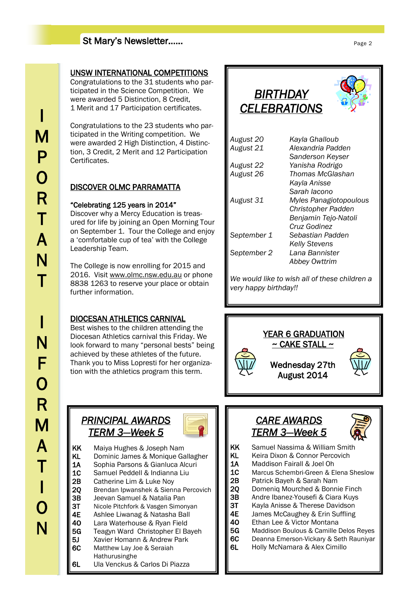### St Mary's Newsletter……

### UNSW INTERNATIONAL COMPETITIONS

Congratulations to the 31 students who participated in the Science Competition. We were awarded 5 Distinction, 8 Credit, 1 Merit and 17 Participation certificates.

Congratulations to the 23 students who participated in the Writing competition. We were awarded 2 High Distinction, 4 Distinction, 3 Credit, 2 Merit and 12 Participation Certificates.

### DISCOVER OLMC PARRAMATTA

### "Celebrating 125 years in 2014"

Discover why a Mercy Education is treasured for life by joining an Open Morning Tour on September 1. Tour the College and enjoy a "comfortable cup of tea" with the College Leadership Team.

The College is now enrolling for 2015 and 2016. Visit [www.olmc.nsw.edu.au](http://www.olmc.nsw.edu.au) or phone 8838 1263 to reserve your place or obtain further information.

### DIOCESAN ATHLETICS CARNIVAL

Best wishes to the children attending the Diocesan Athletics carnival this Friday. We look forward to many "personal bests" being achieved by these athletes of the future. Thank you to Miss Lopresti for her organization with the athletics program this term.

### *BIRTHDAY CELEBRATIONS*

| August 20   | Kayla Ghalloub            |
|-------------|---------------------------|
| August 21   | Alexandria Padden         |
|             | Sanderson Keyser          |
| August 22   | Yanisha Rodrigo           |
| August 26   | Thomas McGlashan          |
|             | Kayla Anisse              |
|             | Sarah lacono              |
| August 31   | Myles Panagiotopoulous    |
|             | <b>Christopher Padden</b> |
|             | Benjamin Tejo-Natoli      |
|             | Cruz Godinez              |
| September 1 | Sebastian Padden          |
|             | <b>Kelly Stevens</b>      |
| September 2 | Lana Bannister            |
|             | Abbey Owttrim             |
|             |                           |

*We would like to wish all of these children a very happy birthday!!*



### *PRINCIPAL AWARDS TERM 3—Week 5*



KK Maiya Hughes & Joseph Nam KL Dominic James & Monique Gallagher 1A Sophia Parsons & Gianluca Alcuri<br>1C Samuel Peddell & Indianna Liu Samuel Peddell & Indianna Liu 2B Catherine Lim & Luke Noy 2Q Brendan Ipwanshek & Sienna Percovich 3B Jeevan Samuel & Natalia Pan 3T Nicole Pitchfork & Vasgen Simonyan 4E Ashlee Liwanag & Natasha Ball 4O Lara Waterhouse & Ryan Field 5G Teagyn Ward Christopher El Bayeh 5J Xavier Homann & Andrew Park 6C Matthew Lay Joe & Seraiah Hathurusinghe 6L Ula Venckus & Carlos Di Piazza

### *CARE AWARDS TERM 3—Week 5*



- KK Samuel Nassima & William Smith
- KL Keira Dixon & Connor Percovich
- 1A Maddison Fairall & Joel Oh
- 1C Marcus Schembri-Green & Elena Sheslow
- 2B Patrick Bayeh & Sarah Nam
- 20 Domenig Mourched & Bonnie Finch
- 3B Andre Ibanez-Yousefi & Ciara Kuys
- 3T Kayla Anisse & Therese Davidson
- 4E James McCaughey & Erin Suffling
- 4O Ethan Lee & Victor Montana
- 5G Maddison Boulous & Camille Delos Reyes
- 6C Deanna Emerson-Vickary & Seth Rauniyar
- 6L Holly McNamara & Alex Cimillo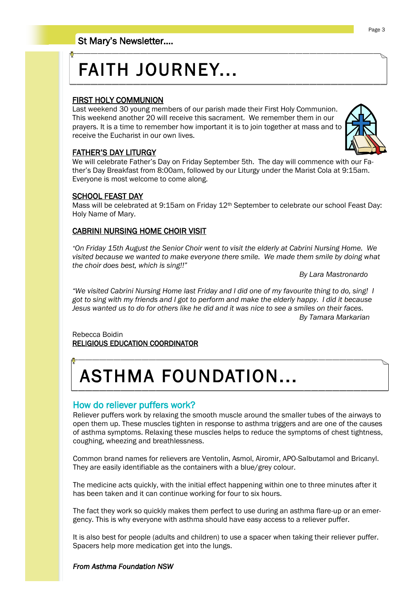# FAITH JOURNEY...

### FIRST HOLY COMMUNION

Last weekend 30 young members of our parish made their First Holy Communion. This weekend another 20 will receive this sacrament. We remember them in our prayers. It is a time to remember how important it is to join together at mass and to receive the Eucharist in our own lives.

### FATHER"S DAY LITURGY

We will celebrate Father"s Day on Friday September 5th. The day will commence with our Father"s Day Breakfast from 8:00am, followed by our Liturgy under the Marist Cola at 9:15am. Everyone is most welcome to come along.

### SCHOOL FEAST DAY

Mass will be celebrated at 9:15am on Friday 12<sup>th</sup> September to celebrate our school Feast Day: Holy Name of Mary.

### CABRINI NURSING HOME CHOIR VISIT

*"On Friday 15th August the Senior Choir went to visit the elderly at Cabrini Nursing Home. We visited because we wanted to make everyone there smile. We made them smile by doing what the choir does best, which is sing!!"* 

*By Lara Mastronardo*

*"We visited Cabrini Nursing Home last Friday and I did one of my favourite thing to do, sing! I got to sing with my friends and I got to perform and make the elderly happy. I did it because Jesus wanted us to do for others like he did and it was nice to see a smiles on their faces. By Tamara Markarian*

#### Rebecca Boidin RELIGIOUS EDUCATION COORDINATOR

# ASTHMA FOUNDATION...

### How do reliever puffers work?

Reliever puffers work by relaxing the smooth muscle around the smaller tubes of the airways to open them up. These muscles tighten in response to asthma triggers and are one of the causes of asthma symptoms. Relaxing these muscles helps to reduce the symptoms of chest tightness, coughing, wheezing and breathlessness.

Common brand names for relievers are Ventolin, Asmol, Airomir, APO-Salbutamol and Bricanyl. They are easily identifiable as the containers with a blue/grey colour.

The medicine acts quickly, with the initial effect happening within one to three minutes after it has been taken and it can continue working for four to six hours.

The fact they work so quickly makes them perfect to use during an asthma flare-up or an emergency. This is why everyone with asthma should have easy access to a reliever puffer.

It is also best for people (adults and children) to use a spacer when taking their reliever puffer. Spacers help more medication get into the lungs.

#### *From Asthma Foundation NSW*